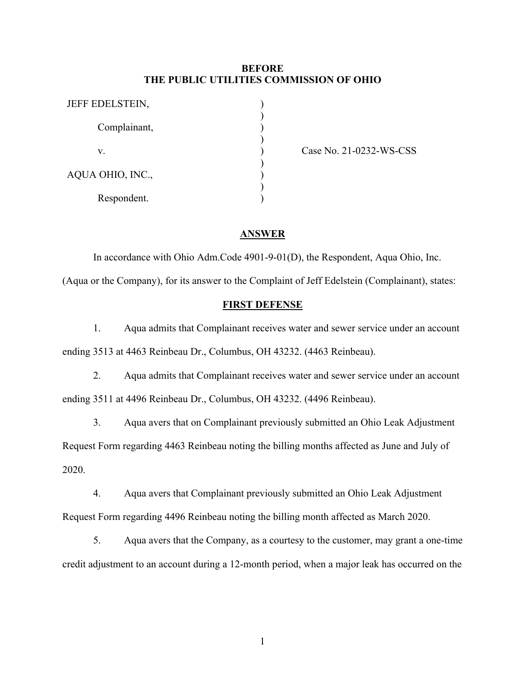## **BEFORE THE PUBLIC UTILITIES COMMISSION OF OHIO**

| JEFF EDELSTEIN,  |  |
|------------------|--|
| Complainant,     |  |
| V.               |  |
| AQUA OHIO, INC., |  |
| Respondent.      |  |

Case No. 21-0232-WS-CSS

#### **ANSWER**

In accordance with Ohio Adm.Code 4901-9-01(D), the Respondent, Aqua Ohio, Inc. (Aqua or the Company), for its answer to the Complaint of Jeff Edelstein (Complainant), states:

### **FIRST DEFENSE**

1. Aqua admits that Complainant receives water and sewer service under an account ending 3513 at 4463 Reinbeau Dr., Columbus, OH 43232. (4463 Reinbeau).

2. Aqua admits that Complainant receives water and sewer service under an account ending 3511 at 4496 Reinbeau Dr., Columbus, OH 43232. (4496 Reinbeau).

3. Aqua avers that on Complainant previously submitted an Ohio Leak Adjustment Request Form regarding 4463 Reinbeau noting the billing months affected as June and July of 2020.

4. Aqua avers that Complainant previously submitted an Ohio Leak Adjustment Request Form regarding 4496 Reinbeau noting the billing month affected as March 2020.

5. Aqua avers that the Company, as a courtesy to the customer, may grant a one-time credit adjustment to an account during a 12-month period, when a major leak has occurred on the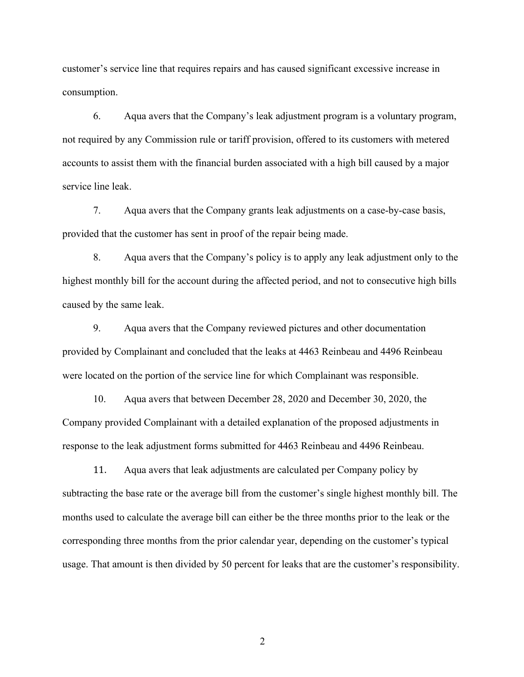customer's service line that requires repairs and has caused significant excessive increase in consumption.

6. Aqua avers that the Company's leak adjustment program is a voluntary program, not required by any Commission rule or tariff provision, offered to its customers with metered accounts to assist them with the financial burden associated with a high bill caused by a major service line leak.

7. Aqua avers that the Company grants leak adjustments on a case-by-case basis, provided that the customer has sent in proof of the repair being made.

8. Aqua avers that the Company's policy is to apply any leak adjustment only to the highest monthly bill for the account during the affected period, and not to consecutive high bills caused by the same leak.

9. Aqua avers that the Company reviewed pictures and other documentation provided by Complainant and concluded that the leaks at 4463 Reinbeau and 4496 Reinbeau were located on the portion of the service line for which Complainant was responsible.

10. Aqua avers that between December 28, 2020 and December 30, 2020, the Company provided Complainant with a detailed explanation of the proposed adjustments in response to the leak adjustment forms submitted for 4463 Reinbeau and 4496 Reinbeau.

11. Aqua avers that leak adjustments are calculated per Company policy by subtracting the base rate or the average bill from the customer's single highest monthly bill. The months used to calculate the average bill can either be the three months prior to the leak or the corresponding three months from the prior calendar year, depending on the customer's typical usage. That amount is then divided by 50 percent for leaks that are the customer's responsibility.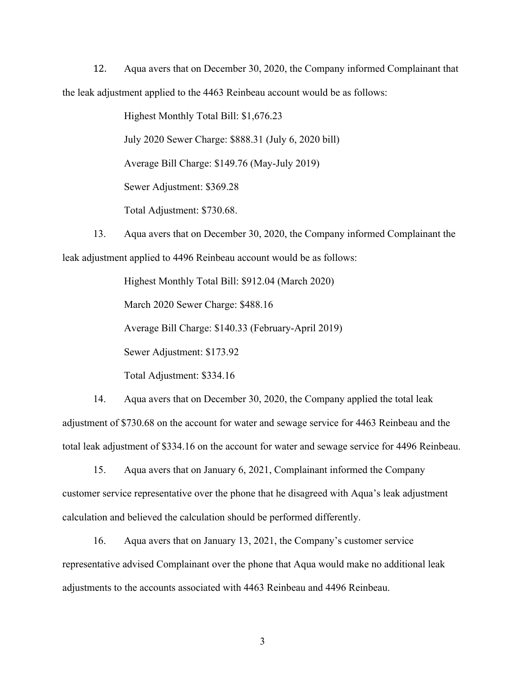12. Aqua avers that on December 30, 2020, the Company informed Complainant that the leak adjustment applied to the 4463 Reinbeau account would be as follows:

> Highest Monthly Total Bill: \$1,676.23 July 2020 Sewer Charge: \$888.31 (July 6, 2020 bill) Average Bill Charge: \$149.76 (May-July 2019) Sewer Adjustment: \$369.28 Total Adjustment: \$730.68.

13. Aqua avers that on December 30, 2020, the Company informed Complainant the leak adjustment applied to 4496 Reinbeau account would be as follows:

> Highest Monthly Total Bill: \$912.04 (March 2020) March 2020 Sewer Charge: \$488.16 Average Bill Charge: \$140.33 (February-April 2019) Sewer Adjustment: \$173.92

Total Adjustment: \$334.16

14. Aqua avers that on December 30, 2020, the Company applied the total leak adjustment of \$730.68 on the account for water and sewage service for 4463 Reinbeau and the total leak adjustment of \$334.16 on the account for water and sewage service for 4496 Reinbeau.

15. Aqua avers that on January 6, 2021, Complainant informed the Company customer service representative over the phone that he disagreed with Aqua's leak adjustment calculation and believed the calculation should be performed differently.

16. Aqua avers that on January 13, 2021, the Company's customer service representative advised Complainant over the phone that Aqua would make no additional leak adjustments to the accounts associated with 4463 Reinbeau and 4496 Reinbeau.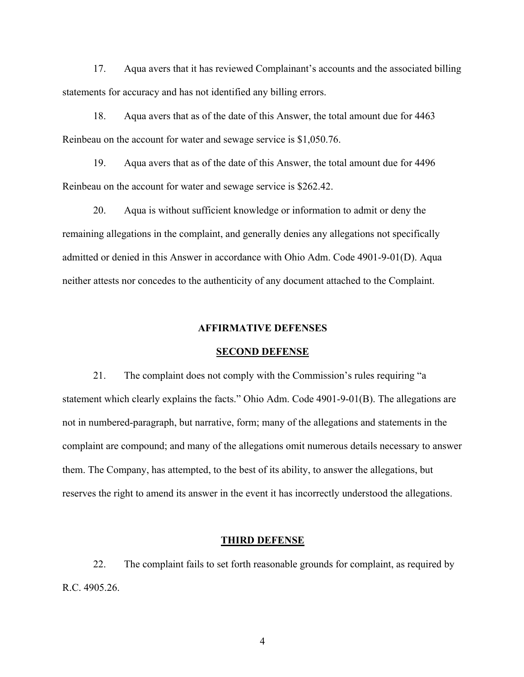17. Aqua avers that it has reviewed Complainant's accounts and the associated billing statements for accuracy and has not identified any billing errors.

18. Aqua avers that as of the date of this Answer, the total amount due for 4463 Reinbeau on the account for water and sewage service is \$1,050.76.

19. Aqua avers that as of the date of this Answer, the total amount due for 4496 Reinbeau on the account for water and sewage service is \$262.42.

20. Aqua is without sufficient knowledge or information to admit or deny the remaining allegations in the complaint, and generally denies any allegations not specifically admitted or denied in this Answer in accordance with Ohio Adm. Code 4901-9-01(D). Aqua neither attests nor concedes to the authenticity of any document attached to the Complaint.

## **AFFIRMATIVE DEFENSES**

### **SECOND DEFENSE**

21. The complaint does not comply with the Commission's rules requiring "a statement which clearly explains the facts." Ohio Adm. Code 4901-9-01(B). The allegations are not in numbered-paragraph, but narrative, form; many of the allegations and statements in the complaint are compound; and many of the allegations omit numerous details necessary to answer them. The Company, has attempted, to the best of its ability, to answer the allegations, but reserves the right to amend its answer in the event it has incorrectly understood the allegations.

## **THIRD DEFENSE**

22. The complaint fails to set forth reasonable grounds for complaint, as required by R.C. 4905.26.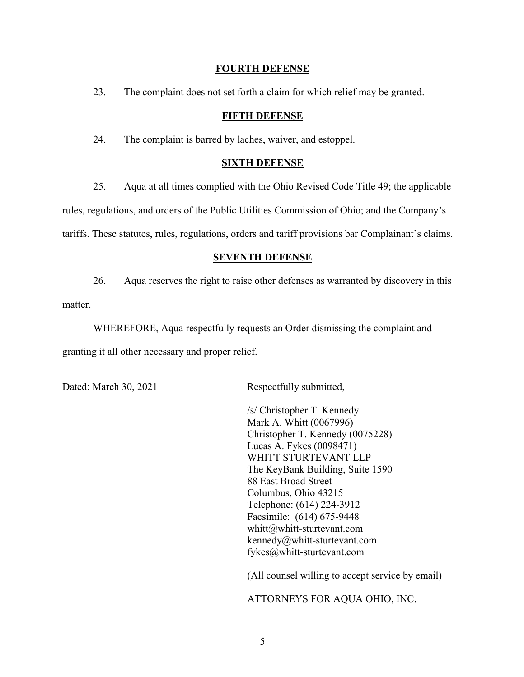## **FOURTH DEFENSE**

23. The complaint does not set forth a claim for which relief may be granted.

## **FIFTH DEFENSE**

24. The complaint is barred by laches, waiver, and estoppel.

### **SIXTH DEFENSE**

25. Aqua at all times complied with the Ohio Revised Code Title 49; the applicable rules, regulations, and orders of the Public Utilities Commission of Ohio; and the Company's tariffs. These statutes, rules, regulations, orders and tariff provisions bar Complainant's claims.

### **SEVENTH DEFENSE**

26. Aqua reserves the right to raise other defenses as warranted by discovery in this matter.

WHEREFORE, Aqua respectfully requests an Order dismissing the complaint and granting it all other necessary and proper relief.

Dated: March 30, 2021 Respectfully submitted,

/s/ Christopher T. Kennedy Mark A. Whitt (0067996) Christopher T. Kennedy (0075228) Lucas A. Fykes (0098471) WHITT STURTEVANT LLP The KeyBank Building, Suite 1590 88 East Broad Street Columbus, Ohio 43215 Telephone: (614) 224-3912 Facsimile: (614) 675-9448 whitt@whitt-sturtevant.com kennedy@whitt-sturtevant.com fykes@whitt-sturtevant.com

(All counsel willing to accept service by email)

ATTORNEYS FOR AQUA OHIO, INC.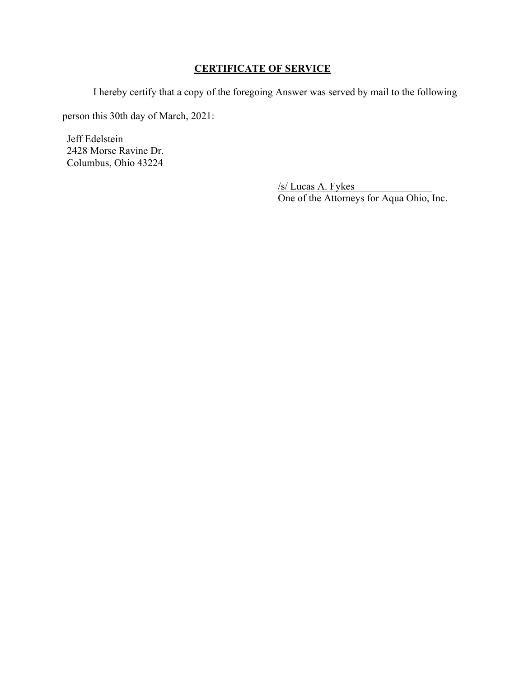# **CERTIFICATE OF SERVICE**

I hereby certify that a copy of the foregoing Answer was served by mail to the following

person this 30th day of March, 2021:

Jeff Edelstein 2428 Morse Ravine Dr. Columbus, Ohio 43224

> /s/ Lucas A. Fykes One of the Attorneys for Aqua Ohio, Inc.